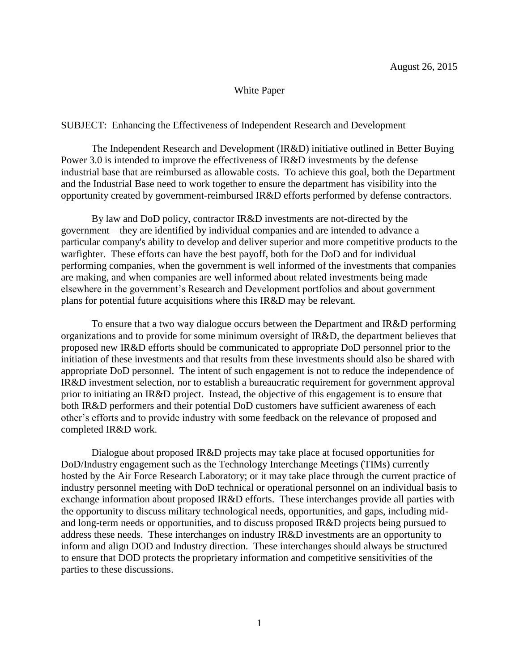## White Paper

## SUBJECT: Enhancing the Effectiveness of Independent Research and Development

The Independent Research and Development (IR&D) initiative outlined in Better Buying Power 3.0 is intended to improve the effectiveness of IR&D investments by the defense industrial base that are reimbursed as allowable costs. To achieve this goal, both the Department and the Industrial Base need to work together to ensure the department has visibility into the opportunity created by government-reimbursed IR&D efforts performed by defense contractors.

By law and DoD policy, contractor IR&D investments are not-directed by the government – they are identified by individual companies and are intended to advance a particular company's ability to develop and deliver superior and more competitive products to the warfighter. These efforts can have the best payoff, both for the DoD and for individual performing companies, when the government is well informed of the investments that companies are making, and when companies are well informed about related investments being made elsewhere in the government's Research and Development portfolios and about government plans for potential future acquisitions where this IR&D may be relevant.

To ensure that a two way dialogue occurs between the Department and IR&D performing organizations and to provide for some minimum oversight of IR&D, the department believes that proposed new IR&D efforts should be communicated to appropriate DoD personnel prior to the initiation of these investments and that results from these investments should also be shared with appropriate DoD personnel. The intent of such engagement is not to reduce the independence of IR&D investment selection, nor to establish a bureaucratic requirement for government approval prior to initiating an IR&D project. Instead, the objective of this engagement is to ensure that both IR&D performers and their potential DoD customers have sufficient awareness of each other's efforts and to provide industry with some feedback on the relevance of proposed and completed IR&D work.

Dialogue about proposed IR&D projects may take place at focused opportunities for DoD/Industry engagement such as the Technology Interchange Meetings (TIMs) currently hosted by the Air Force Research Laboratory; or it may take place through the current practice of industry personnel meeting with DoD technical or operational personnel on an individual basis to exchange information about proposed IR&D efforts. These interchanges provide all parties with the opportunity to discuss military technological needs, opportunities, and gaps, including midand long-term needs or opportunities, and to discuss proposed IR&D projects being pursued to address these needs. These interchanges on industry IR&D investments are an opportunity to inform and align DOD and Industry direction. These interchanges should always be structured to ensure that DOD protects the proprietary information and competitive sensitivities of the parties to these discussions.